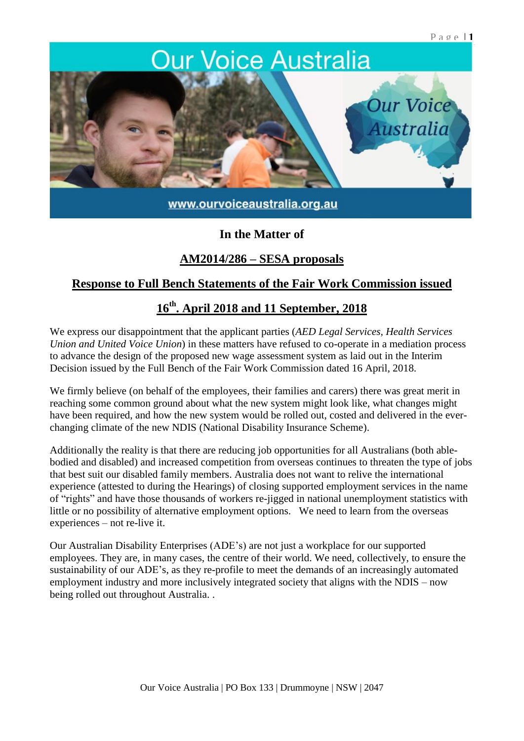# **Our Voice Australia Our Voice Australia**

www.ourvoiceaustralia.org.au

## **In the Matter of**

### **AM2014/286 – SESA proposals**

## **Response to Full Bench Statements of the Fair Work Commission issued**

# **16th . April 2018 and 11 September, 2018**

We express our disappointment that the applicant parties (*AED Legal Services, Health Services Union and United Voice Union*) in these matters have refused to co-operate in a mediation process to advance the design of the proposed new wage assessment system as laid out in the Interim Decision issued by the Full Bench of the Fair Work Commission dated 16 April, 2018.

We firmly believe (on behalf of the employees, their families and carers) there was great merit in reaching some common ground about what the new system might look like, what changes might have been required, and how the new system would be rolled out, costed and delivered in the everchanging climate of the new NDIS (National Disability Insurance Scheme).

Additionally the reality is that there are reducing job opportunities for all Australians (both ablebodied and disabled) and increased competition from overseas continues to threaten the type of jobs that best suit our disabled family members. Australia does not want to relive the international experience (attested to during the Hearings) of closing supported employment services in the name of "rights" and have those thousands of workers re-jigged in national unemployment statistics with little or no possibility of alternative employment options. We need to learn from the overseas experiences – not re-live it.

Our Australian Disability Enterprises (ADE's) are not just a workplace for our supported employees. They are, in many cases, the centre of their world. We need, collectively, to ensure the sustainability of our ADE's, as they re-profile to meet the demands of an increasingly automated employment industry and more inclusively integrated society that aligns with the NDIS – now being rolled out throughout Australia. .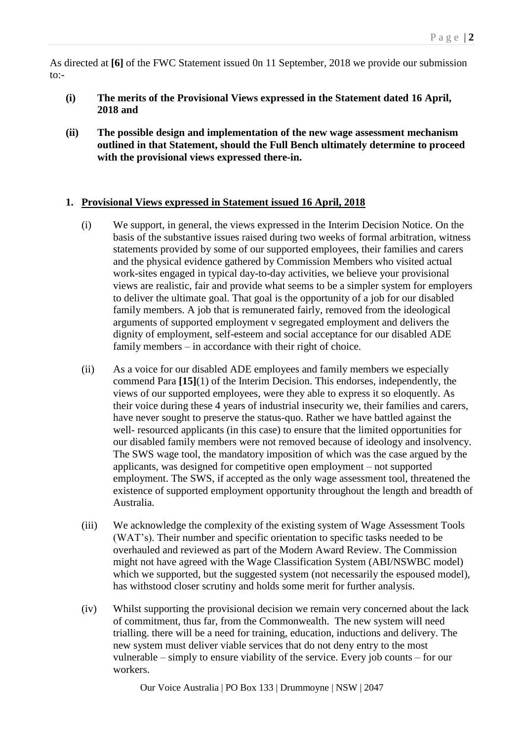As directed at **[6]** of the FWC Statement issued 0n 11 September, 2018 we provide our submission to:-

- **(i) The merits of the Provisional Views expressed in the Statement dated 16 April, 2018 and**
- **(ii) The possible design and implementation of the new wage assessment mechanism outlined in that Statement, should the Full Bench ultimately determine to proceed with the provisional views expressed there-in.**

#### **1. Provisional Views expressed in Statement issued 16 April, 2018**

- (i) We support, in general, the views expressed in the Interim Decision Notice. On the basis of the substantive issues raised during two weeks of formal arbitration, witness statements provided by some of our supported employees, their families and carers and the physical evidence gathered by Commission Members who visited actual work-sites engaged in typical day-to-day activities, we believe your provisional views are realistic, fair and provide what seems to be a simpler system for employers to deliver the ultimate goal. That goal is the opportunity of a job for our disabled family members. A job that is remunerated fairly, removed from the ideological arguments of supported employment v segregated employment and delivers the dignity of employment, self-esteem and social acceptance for our disabled ADE family members – in accordance with their right of choice.
- (ii) As a voice for our disabled ADE employees and family members we especially commend Para **[15]**(1) of the Interim Decision. This endorses, independently, the views of our supported employees, were they able to express it so eloquently. As their voice during these 4 years of industrial insecurity we, their families and carers, have never sought to preserve the status-quo. Rather we have battled against the well- resourced applicants (in this case) to ensure that the limited opportunities for our disabled family members were not removed because of ideology and insolvency. The SWS wage tool, the mandatory imposition of which was the case argued by the applicants, was designed for competitive open employment – not supported employment. The SWS, if accepted as the only wage assessment tool, threatened the existence of supported employment opportunity throughout the length and breadth of Australia.
- (iii) We acknowledge the complexity of the existing system of Wage Assessment Tools (WAT's). Their number and specific orientation to specific tasks needed to be overhauled and reviewed as part of the Modern Award Review. The Commission might not have agreed with the Wage Classification System (ABI/NSWBC model) which we supported, but the suggested system (not necessarily the espoused model), has withstood closer scrutiny and holds some merit for further analysis.
- (iv) Whilst supporting the provisional decision we remain very concerned about the lack of commitment, thus far, from the Commonwealth. The new system will need trialling. there will be a need for training, education, inductions and delivery. The new system must deliver viable services that do not deny entry to the most vulnerable – simply to ensure viability of the service. Every job counts – for our workers.

Our Voice Australia | PO Box 133 | Drummoyne | NSW | 2047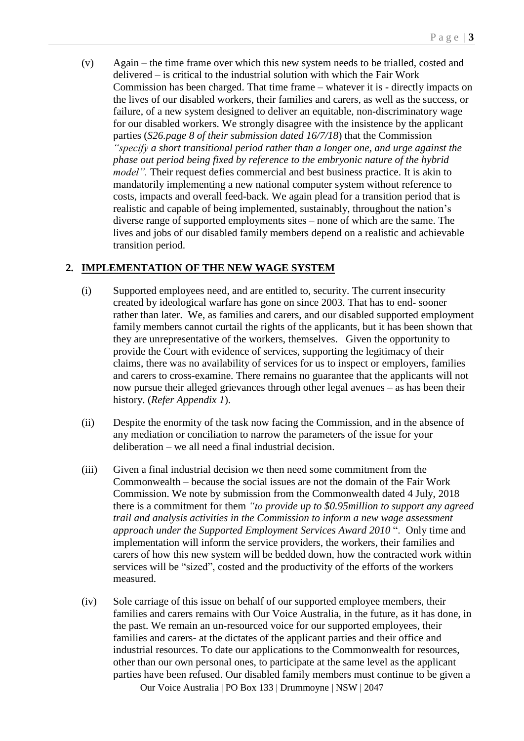(v) Again – the time frame over which this new system needs to be trialled, costed and delivered – is critical to the industrial solution with which the Fair Work Commission has been charged. That time frame – whatever it is - directly impacts on the lives of our disabled workers, their families and carers, as well as the success, or failure, of a new system designed to deliver an equitable, non-discriminatory wage for our disabled workers. We strongly disagree with the insistence by the applicant parties (*S26.page 8 of their submission dated 16/7/18*) that the Commission *"specify a short transitional period rather than a longer one, and urge against the phase out period being fixed by reference to the embryonic nature of the hybrid model"*. Their request defies commercial and best business practice. It is akin to mandatorily implementing a new national computer system without reference to costs, impacts and overall feed-back. We again plead for a transition period that is realistic and capable of being implemented, sustainably, throughout the nation's diverse range of supported employments sites – none of which are the same. The lives and jobs of our disabled family members depend on a realistic and achievable transition period.

#### **2. IMPLEMENTATION OF THE NEW WAGE SYSTEM**

- (i) Supported employees need, and are entitled to, security. The current insecurity created by ideological warfare has gone on since 2003. That has to end- sooner rather than later. We, as families and carers, and our disabled supported employment family members cannot curtail the rights of the applicants, but it has been shown that they are unrepresentative of the workers, themselves. Given the opportunity to provide the Court with evidence of services, supporting the legitimacy of their claims, there was no availability of services for us to inspect or employers, families and carers to cross-examine. There remains no guarantee that the applicants will not now pursue their alleged grievances through other legal avenues – as has been their history. (*Refer Appendix 1*).
- (ii) Despite the enormity of the task now facing the Commission, and in the absence of any mediation or conciliation to narrow the parameters of the issue for your deliberation – we all need a final industrial decision.
- (iii) Given a final industrial decision we then need some commitment from the Commonwealth – because the social issues are not the domain of the Fair Work Commission. We note by submission from the Commonwealth dated 4 July, 2018 there is a commitment for them *"to provide up to \$0.95million to support any agreed trail and analysis activities in the Commission to inform a new wage assessment approach under the Supported Employment Services Award 2010* ". Only time and implementation will inform the service providers, the workers, their families and carers of how this new system will be bedded down, how the contracted work within services will be "sized", costed and the productivity of the efforts of the workers measured.
- (iv) Sole carriage of this issue on behalf of our supported employee members, their families and carers remains with Our Voice Australia, in the future, as it has done, in the past. We remain an un-resourced voice for our supported employees, their families and carers- at the dictates of the applicant parties and their office and industrial resources. To date our applications to the Commonwealth for resources, other than our own personal ones, to participate at the same level as the applicant parties have been refused. Our disabled family members must continue to be given a

Our Voice Australia | PO Box 133 | Drummoyne | NSW | 2047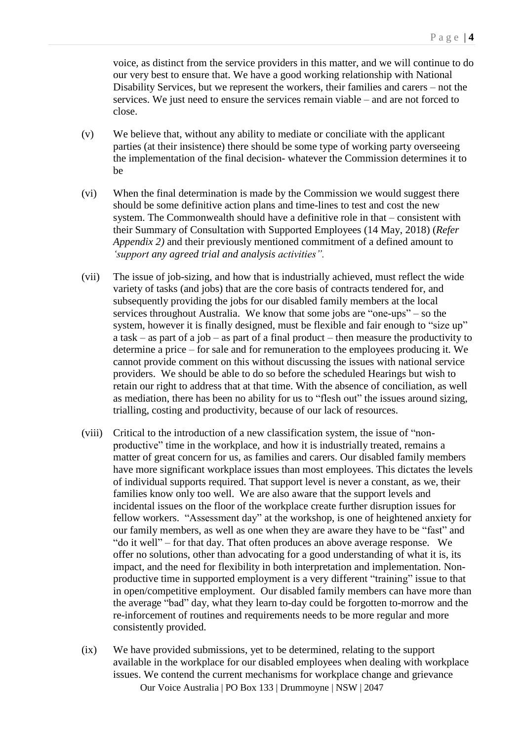voice, as distinct from the service providers in this matter, and we will continue to do our very best to ensure that. We have a good working relationship with National Disability Services, but we represent the workers, their families and carers – not the services. We just need to ensure the services remain viable – and are not forced to close.

- (v) We believe that, without any ability to mediate or conciliate with the applicant parties (at their insistence) there should be some type of working party overseeing the implementation of the final decision- whatever the Commission determines it to be
- (vi) When the final determination is made by the Commission we would suggest there should be some definitive action plans and time-lines to test and cost the new system. The Commonwealth should have a definitive role in that – consistent with their Summary of Consultation with Supported Employees (14 May, 2018) (*Refer Appendix 2)* and their previously mentioned commitment of a defined amount to *'support any agreed trial and analysis activities".*
- (vii) The issue of job-sizing, and how that is industrially achieved, must reflect the wide variety of tasks (and jobs) that are the core basis of contracts tendered for, and subsequently providing the jobs for our disabled family members at the local services throughout Australia. We know that some jobs are "one-ups" – so the system, however it is finally designed, must be flexible and fair enough to "size up" a task – as part of a job – as part of a final product – then measure the productivity to determine a price – for sale and for remuneration to the employees producing it. We cannot provide comment on this without discussing the issues with national service providers. We should be able to do so before the scheduled Hearings but wish to retain our right to address that at that time. With the absence of conciliation, as well as mediation, there has been no ability for us to "flesh out" the issues around sizing, trialling, costing and productivity, because of our lack of resources.
- (viii) Critical to the introduction of a new classification system, the issue of "nonproductive" time in the workplace, and how it is industrially treated, remains a matter of great concern for us, as families and carers. Our disabled family members have more significant workplace issues than most employees. This dictates the levels of individual supports required. That support level is never a constant, as we, their families know only too well. We are also aware that the support levels and incidental issues on the floor of the workplace create further disruption issues for fellow workers. "Assessment day" at the workshop, is one of heightened anxiety for our family members, as well as one when they are aware they have to be "fast" and "do it well" – for that day. That often produces an above average response. We offer no solutions, other than advocating for a good understanding of what it is, its impact, and the need for flexibility in both interpretation and implementation. Nonproductive time in supported employment is a very different "training" issue to that in open/competitive employment. Our disabled family members can have more than the average "bad" day, what they learn to-day could be forgotten to-morrow and the re-inforcement of routines and requirements needs to be more regular and more consistently provided.
- Our Voice Australia | PO Box 133 | Drummoyne | NSW | 2047 (ix) We have provided submissions, yet to be determined, relating to the support available in the workplace for our disabled employees when dealing with workplace issues. We contend the current mechanisms for workplace change and grievance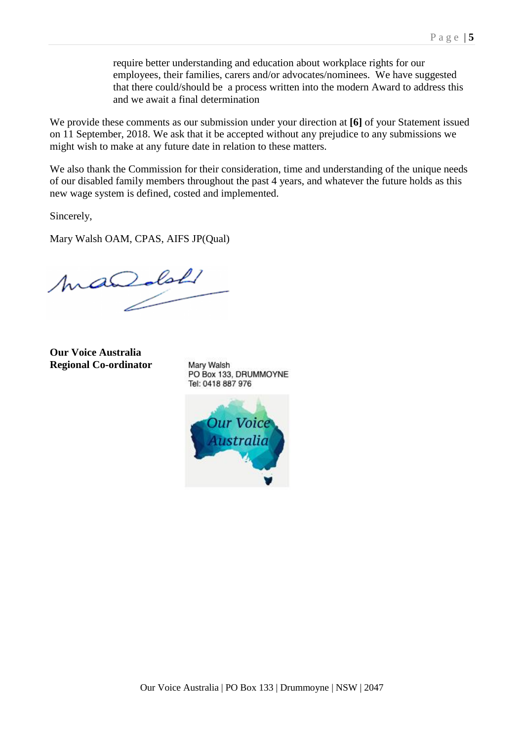require better understanding and education about workplace rights for our employees, their families, carers and/or advocates/nominees. We have suggested that there could/should be a process written into the modern Award to address this and we await a final determination

We provide these comments as our submission under your direction at **[6]** of your Statement issued on 11 September, 2018. We ask that it be accepted without any prejudice to any submissions we might wish to make at any future date in relation to these matters.

We also thank the Commission for their consideration, time and understanding of the unique needs of our disabled family members throughout the past 4 years, and whatever the future holds as this new wage system is defined, costed and implemented.

Sincerely,

Mary Walsh OAM, CPAS, AIFS JP(Qual)

macedal

**Our Voice Australia Regional Co-ordinator**

Mary Walsh PO Box 133, DRUMMOYNE Tel: 0418 887 976

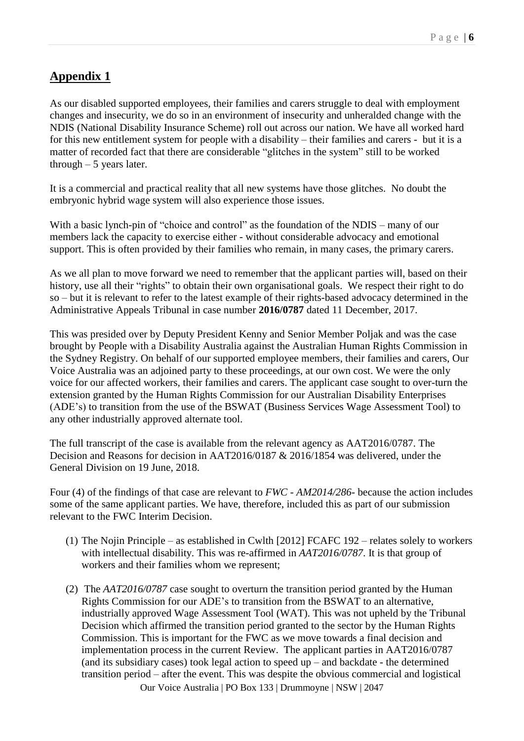# **Appendix 1**

As our disabled supported employees, their families and carers struggle to deal with employment changes and insecurity, we do so in an environment of insecurity and unheralded change with the NDIS (National Disability Insurance Scheme) roll out across our nation. We have all worked hard for this new entitlement system for people with a disability – their families and carers - but it is a matter of recorded fact that there are considerable "glitches in the system" still to be worked through  $-5$  years later.

It is a commercial and practical reality that all new systems have those glitches. No doubt the embryonic hybrid wage system will also experience those issues.

With a basic lynch-pin of "choice and control" as the foundation of the NDIS – many of our members lack the capacity to exercise either - without considerable advocacy and emotional support. This is often provided by their families who remain, in many cases, the primary carers.

As we all plan to move forward we need to remember that the applicant parties will, based on their history, use all their "rights" to obtain their own organisational goals. We respect their right to do so – but it is relevant to refer to the latest example of their rights-based advocacy determined in the Administrative Appeals Tribunal in case number **2016/0787** dated 11 December, 2017.

This was presided over by Deputy President Kenny and Senior Member Poljak and was the case brought by People with a Disability Australia against the Australian Human Rights Commission in the Sydney Registry. On behalf of our supported employee members, their families and carers, Our Voice Australia was an adjoined party to these proceedings, at our own cost. We were the only voice for our affected workers, their families and carers. The applicant case sought to over-turn the extension granted by the Human Rights Commission for our Australian Disability Enterprises (ADE's) to transition from the use of the BSWAT (Business Services Wage Assessment Tool) to any other industrially approved alternate tool.

The full transcript of the case is available from the relevant agency as AAT2016/0787. The Decision and Reasons for decision in AAT2016/0187 & 2016/1854 was delivered, under the General Division on 19 June, 2018.

Four (4) of the findings of that case are relevant to *FWC - AM2014/286*- because the action includes some of the same applicant parties. We have, therefore, included this as part of our submission relevant to the FWC Interim Decision.

- (1) The Nojin Principle as established in Cwlth [2012] FCAFC 192 relates solely to workers with intellectual disability. This was re-affirmed in *AAT2016/0787*. It is that group of workers and their families whom we represent;
- Our Voice Australia | PO Box 133 | Drummoyne | NSW | 2047 (2) The *AAT2016/0787* case sought to overturn the transition period granted by the Human Rights Commission for our ADE's to transition from the BSWAT to an alternative, industrially approved Wage Assessment Tool (WAT). This was not upheld by the Tribunal Decision which affirmed the transition period granted to the sector by the Human Rights Commission. This is important for the FWC as we move towards a final decision and implementation process in the current Review. The applicant parties in AAT2016/0787 (and its subsidiary cases) took legal action to speed  $up$  – and backdate - the determined transition period – after the event. This was despite the obvious commercial and logistical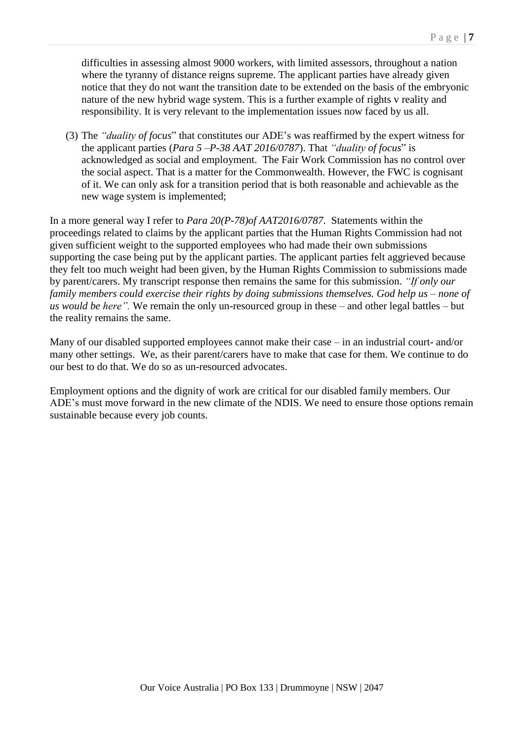difficulties in assessing almost 9000 workers, with limited assessors, throughout a nation where the tyranny of distance reigns supreme. The applicant parties have already given notice that they do not want the transition date to be extended on the basis of the embryonic nature of the new hybrid wage system. This is a further example of rights v reality and responsibility. It is very relevant to the implementation issues now faced by us all.

(3) The *"duality of focus*" that constitutes our ADE's was reaffirmed by the expert witness for the applicant parties (*Para 5 –P-38 AAT 2016/0787*). That *"duality of focus*" is acknowledged as social and employment. The Fair Work Commission has no control over the social aspect. That is a matter for the Commonwealth. However, the FWC is cognisant of it. We can only ask for a transition period that is both reasonable and achievable as the new wage system is implemented;

In a more general way I refer to *Para 20(P-78)of AAT2016/0787*. Statements within the proceedings related to claims by the applicant parties that the Human Rights Commission had not given sufficient weight to the supported employees who had made their own submissions supporting the case being put by the applicant parties. The applicant parties felt aggrieved because they felt too much weight had been given, by the Human Rights Commission to submissions made by parent/carers. My transcript response then remains the same for this submission. *"If only our family members could exercise their rights by doing submissions themselves. God help us – none of us would be here".* We remain the only un-resourced group in these – and other legal battles – but the reality remains the same.

Many of our disabled supported employees cannot make their case – in an industrial court- and/or many other settings. We, as their parent/carers have to make that case for them. We continue to do our best to do that. We do so as un-resourced advocates.

Employment options and the dignity of work are critical for our disabled family members. Our ADE's must move forward in the new climate of the NDIS. We need to ensure those options remain sustainable because every job counts.